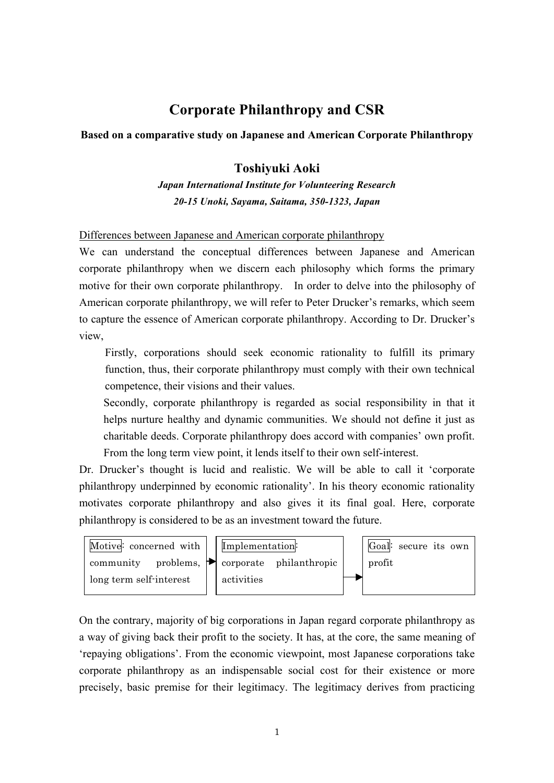# **Corporate Philanthropy and CSR**

## **Based on a comparative study on Japanese and American Corporate Philanthropy**

# **Toshiyuki Aoki**

*Japan International Institute for Volunteering Research 20-15 Unoki, Sayama, Saitama, 350-1323, Japan*

#### Differences between Japanese and American corporate philanthropy

We can understand the conceptual differences between Japanese and American corporate philanthropy when we discern each philosophy which forms the primary motive for their own corporate philanthropy. In order to delve into the philosophy of American corporate philanthropy, we will refer to Peter Drucker's remarks, which seem to capture the essence of American corporate philanthropy. According to Dr. Drucker's view,

 Firstly, corporations should seek economic rationality to fulfill its primary function, thus, their corporate philanthropy must comply with their own technical competence, their visions and their values.

Secondly, corporate philanthropy is regarded as social responsibility in that it helps nurture healthy and dynamic communities. We should not define it just as charitable deeds. Corporate philanthropy does accord with companies' own profit. From the long term view point, it lends itself to their own self-interest.

Dr. Drucker's thought is lucid and realistic. We will be able to call it 'corporate philanthropy underpinned by economic rationality'. In his theory economic rationality motivates corporate philanthropy and also gives it its final goal. Here, corporate philanthropy is considered to be as an investment toward the future.



On the contrary, majority of big corporations in Japan regard corporate philanthropy as a way of giving back their profit to the society. It has, at the core, the same meaning of 'repaying obligations'. From the economic viewpoint, most Japanese corporations take corporate philanthropy as an indispensable social cost for their existence or more precisely, basic premise for their legitimacy. The legitimacy derives from practicing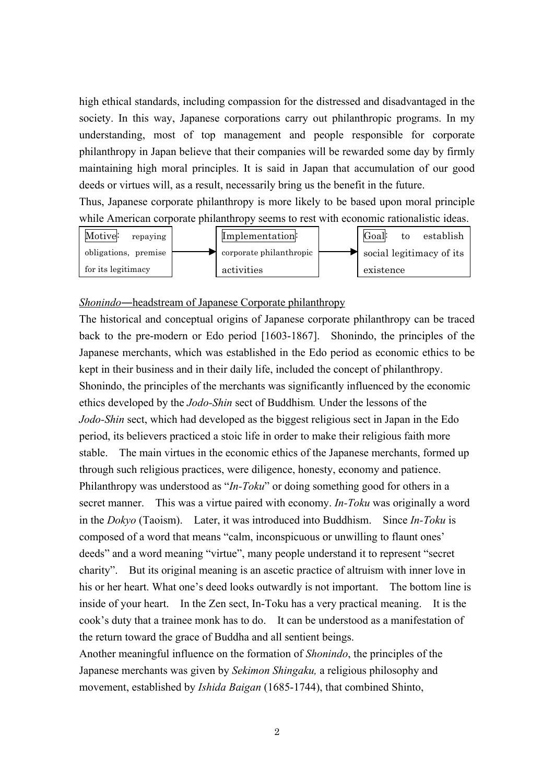high ethical standards, including compassion for the distressed and disadvantaged in the society. In this way, Japanese corporations carry out philanthropic programs. In my understanding, most of top management and people responsible for corporate philanthropy in Japan believe that their companies will be rewarded some day by firmly maintaining high moral principles. It is said in Japan that accumulation of our good deeds or virtues will, as a result, necessarily bring us the benefit in the future.

Thus, Japanese corporate philanthropy is more likely to be based upon moral principle while American corporate philanthropy seems to rest with economic rationalistic ideas.



#### Shonindo-headstream of Japanese Corporate philanthropy

The historical and conceptual origins of Japanese corporate philanthropy can be traced back to the pre-modern or Edo period [1603-1867]. Shonindo, the principles of the Japanese merchants, which was established in the Edo period as economic ethics to be kept in their business and in their daily life, included the concept of philanthropy. Shonindo, the principles of the merchants was significantly influenced by the economic ethics developed by the *Jodo-Shin* sect of Buddhism*.* Under the lessons of the *Jodo-Shin* sect, which had developed as the biggest religious sect in Japan in the Edo period, its believers practiced a stoic life in order to make their religious faith more stable. The main virtues in the economic ethics of the Japanese merchants, formed up through such religious practices, were diligence, honesty, economy and patience. Philanthropy was understood as "*In-Toku*" or doing something good for others in a secret manner. This was a virtue paired with economy. *In-Toku* was originally a word in the *Dokyo* (Taoism). Later, it was introduced into Buddhism. Since *In-Toku* is composed of a word that means "calm, inconspicuous or unwilling to flaunt ones' deeds" and a word meaning "virtue", many people understand it to represent "secret charity". But its original meaning is an ascetic practice of altruism with inner love in his or her heart. What one's deed looks outwardly is not important. The bottom line is inside of your heart. In the Zen sect, In-Toku has a very practical meaning. It is the cook's duty that a trainee monk has to do. It can be understood as a manifestation of the return toward the grace of Buddha and all sentient beings.

Another meaningful influence on the formation of *Shonindo*, the principles of the Japanese merchants was given by *Sekimon Shingaku,* a religious philosophy and movement, established by *Ishida Baigan* (1685-1744), that combined Shinto,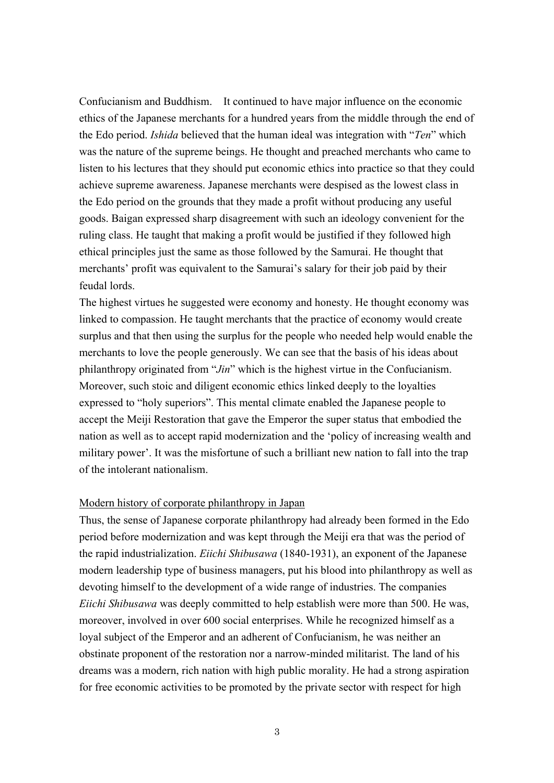Confucianism and Buddhism. It continued to have major influence on the economic ethics of the Japanese merchants for a hundred years from the middle through the end of the Edo period. *Ishida* believed that the human ideal was integration with "*Ten*" which was the nature of the supreme beings. He thought and preached merchants who came to listen to his lectures that they should put economic ethics into practice so that they could achieve supreme awareness. Japanese merchants were despised as the lowest class in the Edo period on the grounds that they made a profit without producing any useful goods. Baigan expressed sharp disagreement with such an ideology convenient for the ruling class. He taught that making a profit would be justified if they followed high ethical principles just the same as those followed by the Samurai. He thought that merchants' profit was equivalent to the Samurai's salary for their job paid by their feudal lords.

The highest virtues he suggested were economy and honesty. He thought economy was linked to compassion. He taught merchants that the practice of economy would create surplus and that then using the surplus for the people who needed help would enable the merchants to love the people generously. We can see that the basis of his ideas about philanthropy originated from "*Jin*" which is the highest virtue in the Confucianism. Moreover, such stoic and diligent economic ethics linked deeply to the loyalties expressed to "holy superiors". This mental climate enabled the Japanese people to accept the Meiji Restoration that gave the Emperor the super status that embodied the nation as well as to accept rapid modernization and the 'policy of increasing wealth and military power'. It was the misfortune of such a brilliant new nation to fall into the trap of the intolerant nationalism.

#### Modern history of corporate philanthropy in Japan

Thus, the sense of Japanese corporate philanthropy had already been formed in the Edo period before modernization and was kept through the Meiji era that was the period of the rapid industrialization. *Eiichi Shibusawa* (1840-1931), an exponent of the Japanese modern leadership type of business managers, put his blood into philanthropy as well as devoting himself to the development of a wide range of industries. The companies *Eiichi Shibusawa* was deeply committed to help establish were more than 500. He was, moreover, involved in over 600 social enterprises. While he recognized himself as a loyal subject of the Emperor and an adherent of Confucianism, he was neither an obstinate proponent of the restoration nor a narrow-minded militarist. The land of his dreams was a modern, rich nation with high public morality. He had a strong aspiration for free economic activities to be promoted by the private sector with respect for high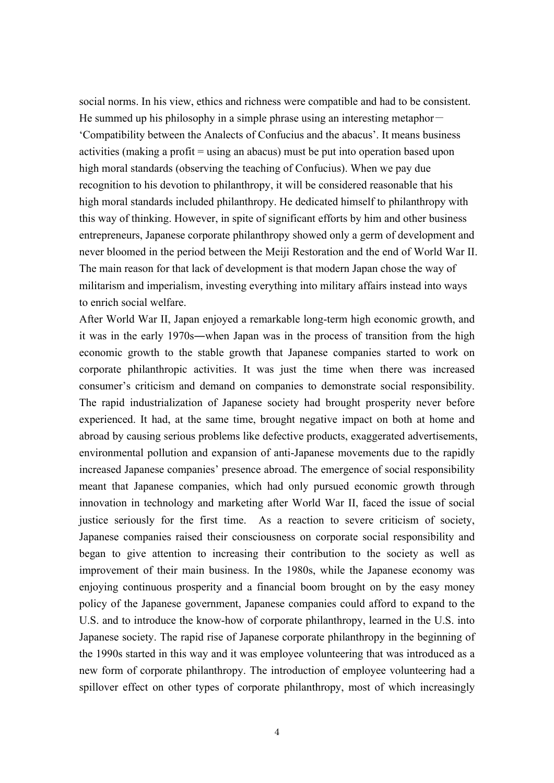social norms. In his view, ethics and richness were compatible and had to be consistent. He summed up his philosophy in a simple phrase using an interesting metaphor— 'Compatibility between the Analects of Confucius and the abacus'. It means business activities (making a profit = using an abacus) must be put into operation based upon high moral standards (observing the teaching of Confucius). When we pay due recognition to his devotion to philanthropy, it will be considered reasonable that his high moral standards included philanthropy. He dedicated himself to philanthropy with this way of thinking. However, in spite of significant efforts by him and other business entrepreneurs, Japanese corporate philanthropy showed only a germ of development and never bloomed in the period between the Meiji Restoration and the end of World War II. The main reason for that lack of development is that modern Japan chose the way of militarism and imperialism, investing everything into military affairs instead into ways to enrich social welfare.

After World War II, Japan enjoyed a remarkable long-term high economic growth, and it was in the early 1970s―when Japan was in the process of transition from the high economic growth to the stable growth that Japanese companies started to work on corporate philanthropic activities. It was just the time when there was increased consumer's criticism and demand on companies to demonstrate social responsibility. The rapid industrialization of Japanese society had brought prosperity never before experienced. It had, at the same time, brought negative impact on both at home and abroad by causing serious problems like defective products, exaggerated advertisements, environmental pollution and expansion of anti-Japanese movements due to the rapidly increased Japanese companies' presence abroad. The emergence of social responsibility meant that Japanese companies, which had only pursued economic growth through innovation in technology and marketing after World War II, faced the issue of social justice seriously for the first time. As a reaction to severe criticism of society, Japanese companies raised their consciousness on corporate social responsibility and began to give attention to increasing their contribution to the society as well as improvement of their main business. In the 1980s, while the Japanese economy was enjoying continuous prosperity and a financial boom brought on by the easy money policy of the Japanese government, Japanese companies could afford to expand to the U.S. and to introduce the know-how of corporate philanthropy, learned in the U.S. into Japanese society. The rapid rise of Japanese corporate philanthropy in the beginning of the 1990s started in this way and it was employee volunteering that was introduced as a new form of corporate philanthropy. The introduction of employee volunteering had a spillover effect on other types of corporate philanthropy, most of which increasingly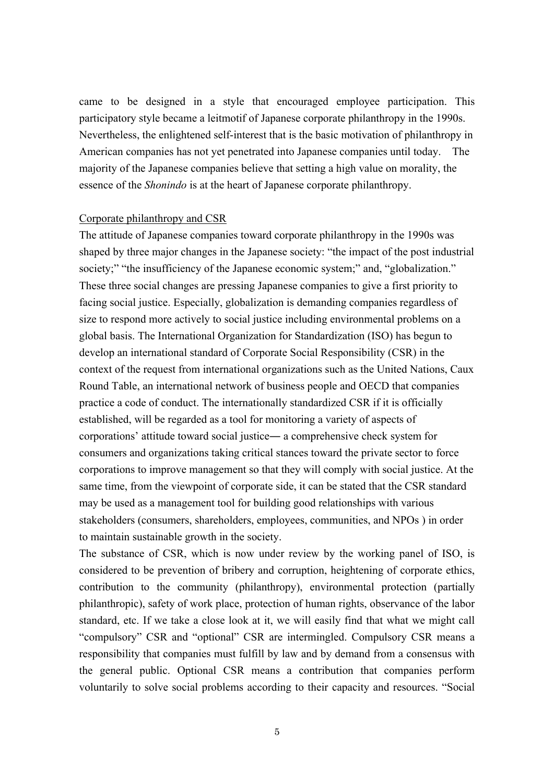came to be designed in a style that encouraged employee participation. This participatory style became a leitmotif of Japanese corporate philanthropy in the 1990s. Nevertheless, the enlightened self-interest that is the basic motivation of philanthropy in American companies has not yet penetrated into Japanese companies until today. The majority of the Japanese companies believe that setting a high value on morality, the essence of the *Shonindo* is at the heart of Japanese corporate philanthropy.

### Corporate philanthropy and CSR

The attitude of Japanese companies toward corporate philanthropy in the 1990s was shaped by three major changes in the Japanese society: "the impact of the post industrial society;" "the insufficiency of the Japanese economic system;" and, "globalization." These three social changes are pressing Japanese companies to give a first priority to facing social justice. Especially, globalization is demanding companies regardless of size to respond more actively to social justice including environmental problems on a global basis. The International Organization for Standardization (ISO) has begun to develop an international standard of Corporate Social Responsibility (CSR) in the context of the request from international organizations such as the United Nations, Caux Round Table, an international network of business people and OECD that companies practice a code of conduct. The internationally standardized CSR if it is officially established, will be regarded as a tool for monitoring a variety of aspects of corporations' attitude toward social justice― a comprehensive check system for consumers and organizations taking critical stances toward the private sector to force corporations to improve management so that they will comply with social justice. At the same time, from the viewpoint of corporate side, it can be stated that the CSR standard may be used as a management tool for building good relationships with various stakeholders (consumers, shareholders, employees, communities, and NPOs ) in order to maintain sustainable growth in the society.

The substance of CSR, which is now under review by the working panel of ISO, is considered to be prevention of bribery and corruption, heightening of corporate ethics, contribution to the community (philanthropy), environmental protection (partially philanthropic), safety of work place, protection of human rights, observance of the labor standard, etc. If we take a close look at it, we will easily find that what we might call "compulsory" CSR and "optional" CSR are intermingled. Compulsory CSR means a responsibility that companies must fulfill by law and by demand from a consensus with the general public. Optional CSR means a contribution that companies perform voluntarily to solve social problems according to their capacity and resources. "Social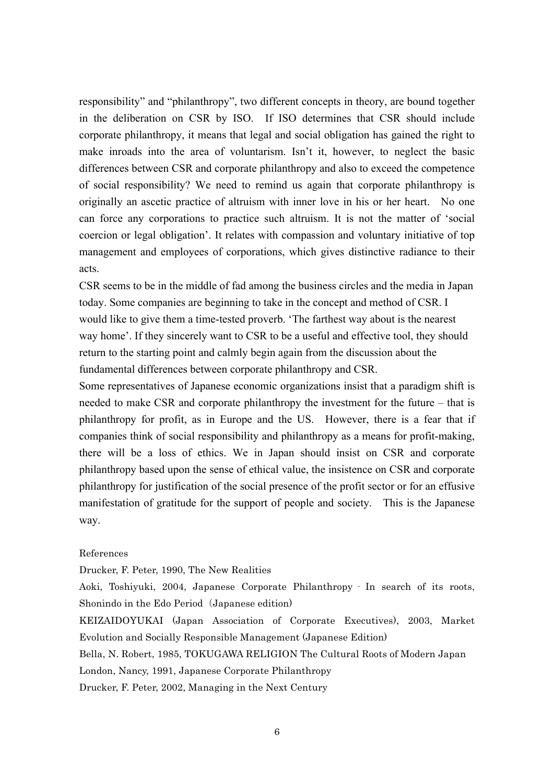responsibility" and "philanthropy", two different concepts in theory, are bound together in the deliberation on CSR by ISO. If ISO determines that CSR should include corporate philanthropy, it means that legal and social obligation has gained the right to make inroads into the area of voluntarism. Isn't it, however, to neglect the basic differences between CSR and corporate philanthropy and also to exceed the competence of social responsibility? We need to remind us again that corporate philanthropy is originally an ascetic practice of altruism with inner love in his or her heart. No one can force any corporations to practice such altruism. It is not the matter of 'social coercion or legal obligation'. It relates with compassion and voluntary initiative of top management and employees of corporations, which gives distinctive radiance to their acts.

CSR seems to be in the middle of fad among the business circles and the media in Japan today. Some companies are beginning to take in the concept and method of CSR. I would like to give them a time-tested proverb. 'The farthest way about is the nearest way home'. If they sincerely want to CSR to be a useful and effective tool, they should return to the starting point and calmly begin again from the discussion about the fundamental differences between corporate philanthropy and CSR.

Some representatives of Japanese economic organizations insist that a paradigm shift is needed to make CSR and corporate philanthropy the investment for the future – that is philanthropy for profit, as in Europe and the US. However, there is a fear that if companies think of social responsibility and philanthropy as a means for profit-making, there will be a loss of ethics. We in Japan should insist on CSR and corporate philanthropy based upon the sense of ethical value, the insistence on CSR and corporate philanthropy for justification of the social presence of the profit sector or for an effusive manifestation of gratitude for the support of people and society. This is the Japanese way.

#### References

Drucker, F. Peter, 1990, The New Realities

Aoki, Toshiyuki, 2004, Japanese Corporate Philanthropy‐In search of its roots, Shonindo in the Edo Period (Japanese edition)

KEIZAIDOYUKAI (Japan Association of Corporate Executives), 2003, Market Evolution and Socially Responsible Management (Japanese Edition)

Bella, N. Robert, 1985, TOKUGAWA RELIGION The Cultural Roots of Modern Japan

London, Nancy, 1991, Japanese Corporate Philanthropy

Drucker, F. Peter, 2002, Managing in the Next Century